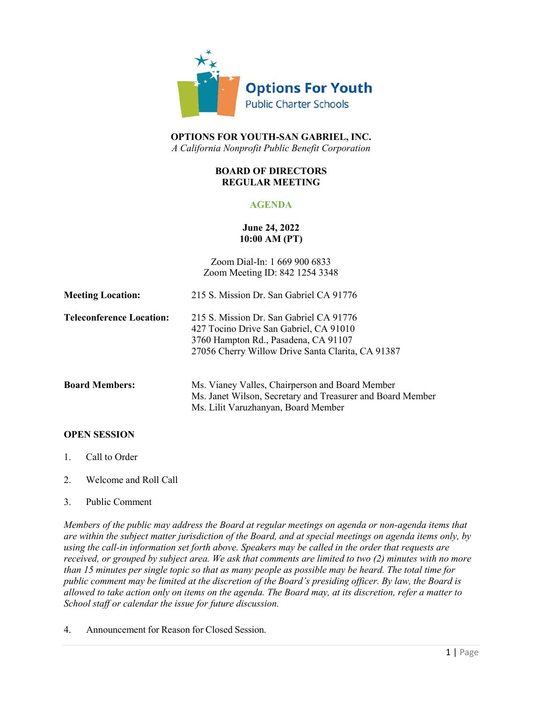

# **OPTIONS FOR YOUTH-SAN GABRIEL, INC.** *A California Nonprofit Public Benefit Corporation*

#### **BOARD OF DIRECTORS REGULAR MEETING**

# **AGENDA**

# **June 24, 2022 10:00 AM (PT)**

Zoom Dial-In: 1 669 900 6833 Zoom Meeting ID: 842 1254 3348

| <b>Meeting Location:</b>        | 215 S. Mission Dr. San Gabriel CA 91776                                                                                                                                        |
|---------------------------------|--------------------------------------------------------------------------------------------------------------------------------------------------------------------------------|
| <b>Teleconference Location:</b> | 215 S. Mission Dr. San Gabriel CA 91776<br>427 Tocino Drive San Gabriel, CA 91010<br>3760 Hampton Rd., Pasadena, CA 91107<br>27056 Cherry Willow Drive Santa Clarita, CA 91387 |
| <b>Board Members:</b>           | Ms. Vianey Valles, Chairperson and Board Member<br>Ms. Janet Wilson, Secretary and Treasurer and Board Member                                                                  |

# **OPEN SESSION**

- 1. Call to Order
- 2. Welcome and Roll Call
- 3. Public Comment

*Members of the public may address the Board at regular meetings on agenda or non-agenda items that are within the subject matter jurisdiction of the Board, and at special meetings on agenda items only, by using the call-in information set forth above. Speakers may be called in the order that requests are received, or grouped by subject area. We ask that comments are limited to two (2) minutes with no more than 15 minutes per single topic so that as many people as possible may be heard. The total time for public comment may be limited at the discretion of the Board's presiding officer. By law, the Board is allowed to take action only on items on the agenda. The Board may, at its discretion, refer a matter to School staff or calendar the issue for future discussion.*

Ms. Lilit Varuzhanyan, Board Member

4. Announcement for Reason for Closed Session.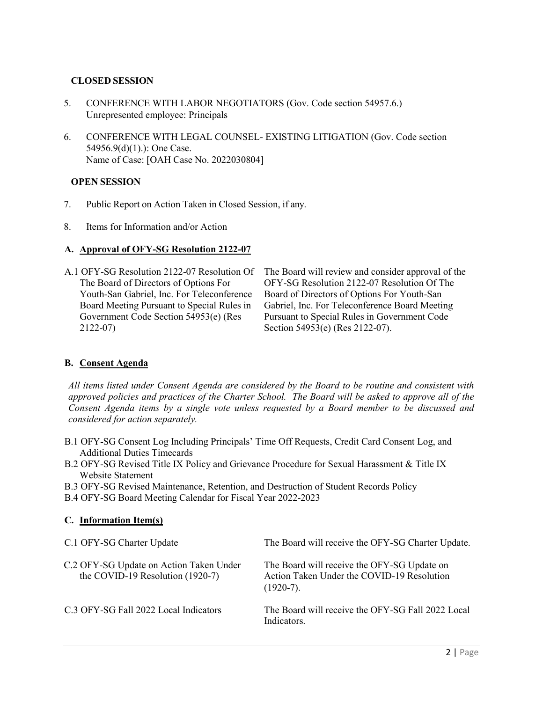# **CLOSED SESSION**

- 5. CONFERENCE WITH LABOR NEGOTIATORS (Gov. Code section 54957.6.) Unrepresented employee: Principals
- 6. CONFERENCE WITH LEGAL COUNSEL- EXISTING LITIGATION (Gov. Code section 54956.9(d)(1).): One Case. Name of Case: [OAH Case No. 2022030804]

#### **OPEN SESSION**

- 7. Public Report on Action Taken in Closed Session, if any.
- 8. Items for Information and/or Action

### **A. Approval of OFY-SG Resolution 2122-07**

A.1 OFY-SG Resolution 2122-07 Resolution Of The Board of Directors of Options For Youth-San Gabriel, Inc. For Teleconference Board Meeting Pursuant to Special Rules in Government Code Section 54953(e) (Res 2122-07)

The Board will review and consider approval of the OFY-SG Resolution 2122-07 Resolution Of The Board of Directors of Options For Youth-San Gabriel, Inc. For Teleconference Board Meeting Pursuant to Special Rules in Government Code Section 54953(e) (Res 2122-07).

# **B. Consent Agenda**

*All items listed under Consent Agenda are considered by the Board to be routine and consistent with approved policies and practices of the Charter School. The Board will be asked to approve all of the Consent Agenda items by a single vote unless requested by a Board member to be discussed and considered for action separately.*

- B.1 OFY-SG Consent Log Including Principals' Time Off Requests, Credit Card Consent Log, and Additional Duties Timecards
- B.2 OFY-SG Revised Title IX Policy and Grievance Procedure for Sexual Harassment & Title IX Website Statement
- B.3 OFY-SG Revised Maintenance, Retention, and Destruction of Student Records Policy

B.4 OFY-SG Board Meeting Calendar for Fiscal Year 2022-2023

#### **C. Information Item(s)**

| C.1 OFY-SG Charter Update                                                   | The Board will receive the OFY-SG Charter Update.                                                        |
|-----------------------------------------------------------------------------|----------------------------------------------------------------------------------------------------------|
| C.2 OFY-SG Update on Action Taken Under<br>the COVID-19 Resolution (1920-7) | The Board will receive the OFY-SG Update on<br>Action Taken Under the COVID-19 Resolution<br>$(1920-7).$ |
| C.3 OFY-SG Fall 2022 Local Indicators                                       | The Board will receive the OFY-SG Fall 2022 Local<br>Indicators.                                         |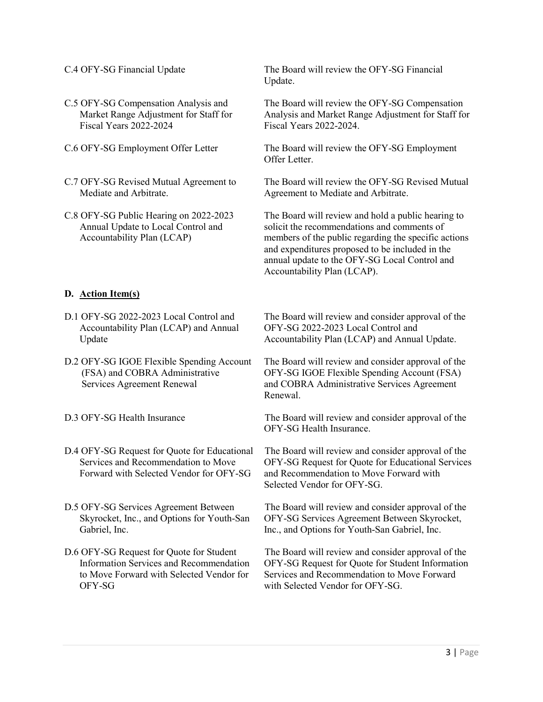- C.5 OFY-SG Compensation Analysis and Market Range Adjustment for Staff for Fiscal Years 2022-2024
- 
- C.7 OFY-SG Revised Mutual Agreement to Mediate and Arbitrate.
- C.8 OFY-SG Public Hearing on 2022-2023 Annual Update to Local Control and Accountability Plan (LCAP)

# **D. Action Item(s)**

- D.1 OFY-SG 2022-2023 Local Control and Accountability Plan (LCAP) and Annual Update
- D.2 OFY-SG IGOE Flexible Spending Account (FSA) and COBRA Administrative Services Agreement Renewal
- 
- D.4 OFY-SG Request for Quote for Educational Services and Recommendation to Move Forward with Selected Vendor for OFY-SG
- D.5 OFY-SG Services Agreement Between Skyrocket, Inc., and Options for Youth-San Gabriel, Inc.
- D.6 OFY-SG Request for Quote for Student Information Services and Recommendation to Move Forward with Selected Vendor for OFY-SG

C.4 OFY-SG Financial Update The Board will review the OFY-SG Financial Update.

> The Board will review the OFY-SG Compensation Analysis and Market Range Adjustment for Staff for Fiscal Years 2022-2024.

C.6 OFY-SG Employment Offer Letter The Board will review the OFY-SG Employment Offer Letter.

> The Board will review the OFY-SG Revised Mutual Agreement to Mediate and Arbitrate.

> The Board will review and hold a public hearing to solicit the recommendations and comments of members of the public regarding the specific actions and expenditures proposed to be included in the annual update to the OFY-SG Local Control and Accountability Plan (LCAP).

The Board will review and consider approval of the OFY-SG 2022-2023 Local Control and Accountability Plan (LCAP) and Annual Update.

The Board will review and consider approval of the OFY-SG IGOE Flexible Spending Account (FSA) and COBRA Administrative Services Agreement Renewal.

D.3 OFY-SG Health Insurance The Board will review and consider approval of the OFY-SG Health Insurance.

> The Board will review and consider approval of the OFY-SG Request for Quote for Educational Services and Recommendation to Move Forward with Selected Vendor for OFY-SG.

The Board will review and consider approval of the OFY-SG Services Agreement Between Skyrocket, Inc., and Options for Youth-San Gabriel, Inc.

The Board will review and consider approval of the OFY-SG Request for Quote for Student Information Services and Recommendation to Move Forward with Selected Vendor for OFY-SG.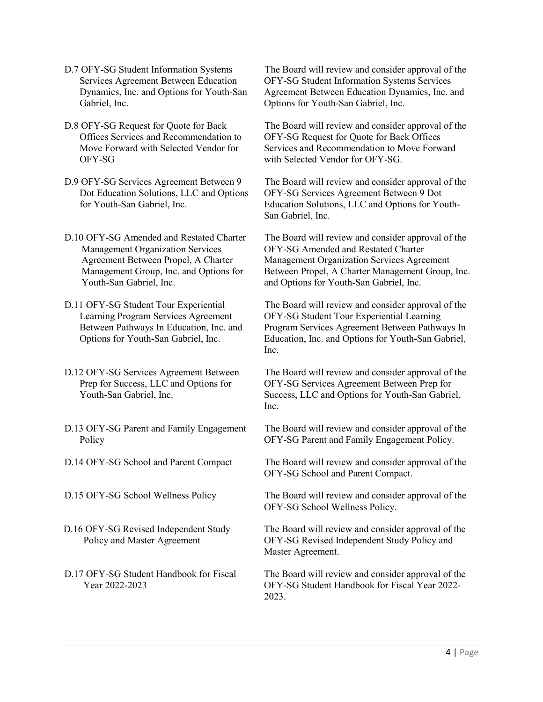- D.7 OFY-SG Student Information Systems Services Agreement Between Education Dynamics, Inc. and Options for Youth-San Gabriel, Inc.
- D.8 OFY-SG Request for Quote for Back Offices Services and Recommendation to Move Forward with Selected Vendor for OFY-SG
- D.9 OFY-SG Services Agreement Between 9 Dot Education Solutions, LLC and Options for Youth-San Gabriel, Inc.
- D.10 OFY-SG Amended and Restated Charter Management Organization Services Agreement Between Propel, A Charter Management Group, Inc. and Options for Youth-San Gabriel, Inc.
- D.11 OFY-SG Student Tour Experiential Learning Program Services Agreement Between Pathways In Education, Inc. and Options for Youth-San Gabriel, Inc.
- D.12 OFY-SG Services Agreement Between Prep for Success, LLC and Options for Youth-San Gabriel, Inc.
- D.13 OFY-SG Parent and Family Engagement Policy
- 
- 
- D.16 OFY-SG Revised Independent Study Policy and Master Agreement
- D.17 OFY-SG Student Handbook for Fiscal Year 2022-2023

The Board will review and consider approval of the OFY-SG Student Information Systems Services Agreement Between Education Dynamics, Inc. and Options for Youth-San Gabriel, Inc.

The Board will review and consider approval of the OFY-SG Request for Quote for Back Offices Services and Recommendation to Move Forward with Selected Vendor for OFY-SG.

The Board will review and consider approval of the OFY-SG Services Agreement Between 9 Dot Education Solutions, LLC and Options for Youth-San Gabriel, Inc.

The Board will review and consider approval of the OFY-SG Amended and Restated Charter Management Organization Services Agreement Between Propel, A Charter Management Group, Inc. and Options for Youth-San Gabriel, Inc.

The Board will review and consider approval of the OFY-SG Student Tour Experiential Learning Program Services Agreement Between Pathways In Education, Inc. and Options for Youth-San Gabriel, Inc.

The Board will review and consider approval of the OFY-SG Services Agreement Between Prep for Success, LLC and Options for Youth-San Gabriel, Inc.

The Board will review and consider approval of the OFY-SG Parent and Family Engagement Policy.

D.14 OFY-SG School and Parent Compact The Board will review and consider approval of the OFY-SG School and Parent Compact.

D.15 OFY-SG School Wellness Policy The Board will review and consider approval of the OFY-SG School Wellness Policy.

> The Board will review and consider approval of the OFY-SG Revised Independent Study Policy and Master Agreement.

> The Board will review and consider approval of the OFY-SG Student Handbook for Fiscal Year 2022- 2023.